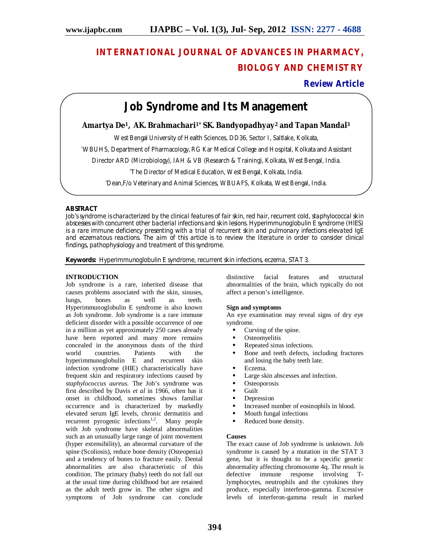# **INTERNATIONAL JOURNAL OF ADVANCES IN PHARMACY, BIOLOGY AND CHEMISTRY**

# **Review Article**

# **Job Syndrome and Its Management**

# **Amartya De1, AK. Brahmachari1\* SK. Bandyopadhyay<sup>2</sup> and Tapan Mandal<sup>3</sup>**

West Bengal University of Health Sciences, DD36, Sector I, Saltlake, Kolkata,

<sup>1</sup>WBUHS, Department of Pharmacology, RG Kar Medical College and Hospital, Kolkata and Assistant

Director ARD (Microbiology), IAH & VB (Research & Training), Kolkata, West Bengal, India.

<sup>2</sup>The Director of Medical Education, West Bengal, Kolkata, India.

3Dean,F/o Veterinary and Animal Sciences, WBUAFS, Kolkata, West Bengal, India.

## **ABSTRACT**

Job's syndrome is characterized by the clinical features of fair skin, red hair, recurrent cold, staphylococcal skin abscesses with concurrent other bacterial infections and skin lesions. Hyperimmunoglobulin E syndrome (HIES) is a rare immune deficiency presenting with a trial of recurrent skin and pulmonary infections elevated IgE and eczematous reactions. The aim of this article is to review the literature in order to consider clinical findings, pathophysiology and treatment of this syndrome.

**Keywords:** Hyperimmunoglobulin E syndrome, recurrent skin infections, eczema, STAT 3.

#### **INTRODUCTION**

Job syndrome is a rare, inherited disease that causes problems associated with the skin, sinuses, lungs, bones as well as teeth. Hyperimmunoglobulin E syndrome is also known as Job syndrome. Job syndrome is a rare immune deficient disorder with a possible occurrence of one in a million as yet approximately 250 cases already have been reported and many more remains concealed in the anonymous dusts of the third world countries. Patients with the hyperimmunoglobulin E and recurrent skin infection syndrome (HIE) characteristically have frequent skin and respiratory infections caused by *staphylococcus aureus.* The Job's syndrome was first described by Davis *et al* in 1966, often has it onset in childhood, sometimes shows familiar occurrence and is characterized by markedly elevated serum IgE levels, chronic dermatitis and recurrent pyrogenic infections<sup>1,2</sup>. Many people with Job syndrome have skeletal abnormalities such as an unusually large range of joint movement (hyper extensibility), an abnormal curvature of the spine (Scoliosis), reduce bone density (Osteopenia) and a tendency of bones to fracture easily. Dental abnormalities are also characteristic of this condition. The primary (baby) teeth do not fall out at the usual time during childhood but are retained as the adult teeth grow in. The other signs and symptoms of Job syndrome can conclude

distinctive facial features and structural abnormalities of the brain, which typically do not affect a person's intelligence.

## **Sign and symptoms**

An eye examination may reveal signs of dry eye syndrome.

- Curving of the spine.
- **Osteomyelitis**
- Repeated sinus infections.
- Bone and teeth defects, including fractures and losing the baby teeth late.
- Eczema.
- Large skin abscesses and infection.
- **Osteoporosis**
- Guilt
- Depression
- Increased number of eosinophils in blood.
- Mouth fungal infections
- Reduced bone density.

#### **Causes**

The exact cause of Job syndrome is unknown. Job syndrome is caused by a mutation in the STAT 3 gene, but it is thought to be a specific genetic abnormality affecting chromosome 4q. The result is defective immune response involving Tlymphocytes, neutrophils and the cytokines they produce, especially interferon-gamma. Excessive levels of interferon-gamma result in marked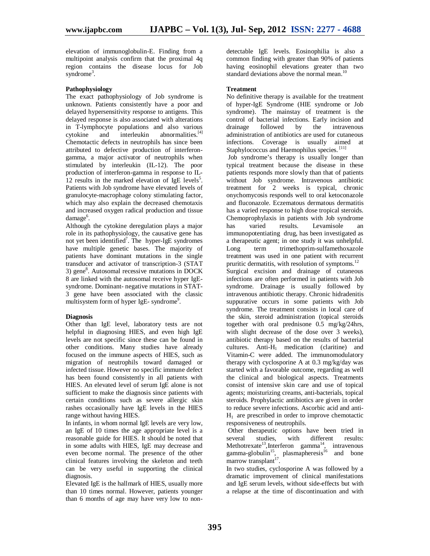elevation of immunoglobulin-E. Finding from a multipoint analysis confirm that the proximal 4q region contains the disease locus for Job syndrome<sup>3</sup>.

### **Pathophysiology**

The exact pathophysiology of Job syndrome is unknown. Patients consistently have a poor and delayed hypersensitivity response to antigens. This delayed response is also associated with alterations in T-lymphocyte populations and also various cytokine and interleukin abnormalities.<sup>[4]</sup> abnormalities.<sup>[4]</sup> Chemotactic defects in neutrophils has since been attributed to defective production of interferongamma, a major activator of neutrophils when stimulated by interleukin (IL-12). The poor production of interferon-gamma in response to IL-12 results in the marked elevation of  $IgE$  levels<sup>5</sup>. Patients with Job syndrome have elevated levels of granulocyte-macrophage colony stimulating factor, which may also explain the decreased chemotaxis and increased oxygen radical production and tissue damage<sup>6</sup>.

Although the cytokine deregulation plays a major role in its pathophysiology, the causative gene has not yet been identified<sup>7</sup>. The hyper-IgE syndromes have multiple genetic bases. The majority of patients have dominant mutations in the single transducer and activator of transcription-3 (STAT 3) gene<sup>8</sup>. Autosomal recessive mutations in DOCK 8 are linked with the autosomal receive hyper IgEsyndrome. Dominant- negative mutations in STAT-3 gene have been associated with the classic multisystem form of hyper IgE- syndrome<sup>9</sup>.

## **Diagnosis**

Other than IgE level, laboratory tests are not helpful in diagnosing HIES, and even high IgE levels are not specific since these can be found in other conditions. Many studies have already focused on the immune aspects of HIES, such as migration of neutrophils toward damaged or infected tissue. However no specific immune defect has been found consistently in all patients with HIES. An elevated level of serum IgE alone is not sufficient to make the diagnosis since patients with certain conditions such as severe allergic skin rashes occasionally have IgE levels in the HIES range without having HIES.

In infants, in whom normal IgE levels are very low, an IgE of 10 times the age appropriate level is a reasonable guide for HIES. It should be noted that in some adults with HIES, IgE may decrease and even become normal. The presence of the other clinical features involving the skeleton and teeth can be very useful in supporting the clinical diagnosis.

Elevated IgE is the hallmark of HIES, usually more than 10 times normal. However, patients younger than 6 months of age may have very low to nondetectable IgE levels. Eosinophilia is also a common finding with greater than 90% of patients having eosinophil elevations greater than two standard deviations above the normal mean.<sup>10</sup>

#### **Treatment**

No definitive therapy is available for the treatment of hyper-IgE Syndrome (HIE syndrome or Job syndrome). The mainstay of treatment is the control of bacterial infections. Early incision and drainage followed by the intravenous intravenous administration of antibiotics are used for cutaneous infections. Coverage is usually aimed at Staphylococcus and Haemophilus species. [11]

Job syndrome's therapy is usually longer than typical treatment because the disease in these patients responds more slowly than that of patients without Job syndrome. Intravenous antibiotic treatment for 2 weeks is typical, chronic onychomycosis responds well to oral ketoconazole and fluconazole. Eczematous dermatous dermatitis has a varied response to high dose tropical steroids. Chemoprophylaxis in patients with Job syndrome has varied results. Levamisole an immunopotentiating drug, has been investigated as a therapeutic agent; in one study it was unhelpful. Long term trimethoprim-sulfamethoxazole treatment was used in one patient with recurrent pruritic dermatitis, with resolution of symptoms.<sup>12</sup> Surgical excision and drainage of cutaneous infections are often performed in patients with Job syndrome. Drainage is usually followed by intravenous antibiotic therapy. Chronic hidradenitis suppurative occurs in some patients with Job syndrome. The treatment consists in local care of the skin, steroid administration (topical steroids together with oral prednisone 0.5 mg/kg/24hrs, with slight decrease of the dose over 3 weeks), antibiotic therapy based on the results of bacterial cultures. Anti- $H_1$  medication (claritine) and Vitamin-C were added. The immunomodulatory therapy with cyclosporine A at 0.3 mg/kg/day was started with a favorable outcome, regarding as well the clinical and biological aspects. Treatments consist of intensive skin care and use of topical agents; moisturizing creams, anti-bacterials, topical steroids. Prophylactic antibiotics are given in order to reduce severe infections. Ascorbic acid and anti- $H<sub>1</sub>$  are prescribed in order to improve chemotactic responsiveness of neutrophils.

Other therapeutic options have been tried in<br>several studies, with different results: different Methotrexate<sup>13</sup>, Interferon gamma<sup>14</sup>, intravenous gamma-globulin<sup>15</sup>, plasmapheresis<sup>16</sup> and bone  $m$ arrow transplant $17$ .

In two studies, cyclosporine A was followed by a dramatic improvement of clinical manifestations and IgE serum levels, without side-effects but with a relapse at the time of discontinuation and with